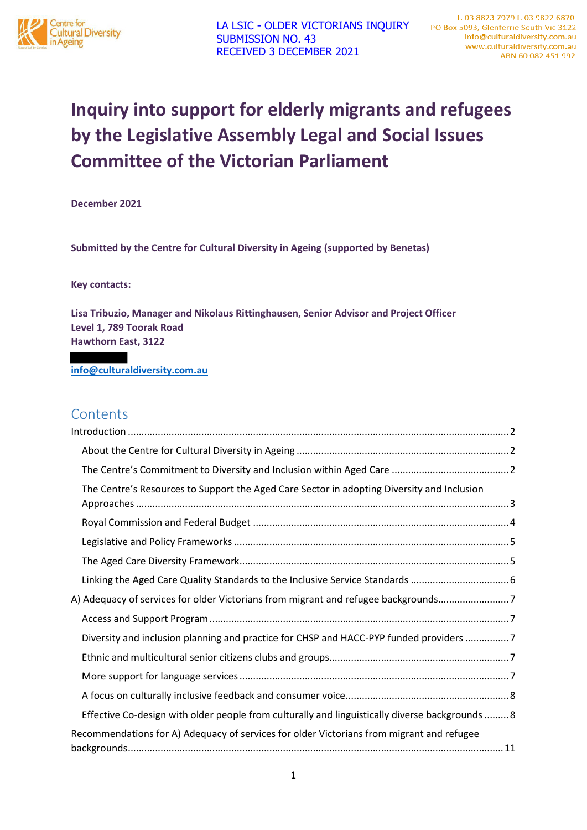

# **Inquiry into support for elderly migrants and refugees by the Legislative Assembly Legal and Social Issues Committee of the Victorian Parliament**

**December 2021** 

**Submitted by the Centre for Cultural Diversity in Ageing (supported by Benetas)** 

**Key contacts:** 

**Lisa Tribuzio, Manager and Nikolaus Rittinghausen, Senior Advisor and Project Officer Level 1, 789 Toorak Road Hawthorn East, 3122** 

**info@culturaldiversity.com.au**

# **Contents**

| The Centre's Resources to Support the Aged Care Sector in adopting Diversity and Inclusion      |
|-------------------------------------------------------------------------------------------------|
|                                                                                                 |
|                                                                                                 |
|                                                                                                 |
|                                                                                                 |
| A) Adequacy of services for older Victorians from migrant and refugee backgrounds7              |
|                                                                                                 |
| Diversity and inclusion planning and practice for CHSP and HACC-PYP funded providers 7          |
|                                                                                                 |
|                                                                                                 |
|                                                                                                 |
| Effective Co-design with older people from culturally and linguistically diverse backgrounds  8 |
| Recommendations for A) Adequacy of services for older Victorians from migrant and refugee       |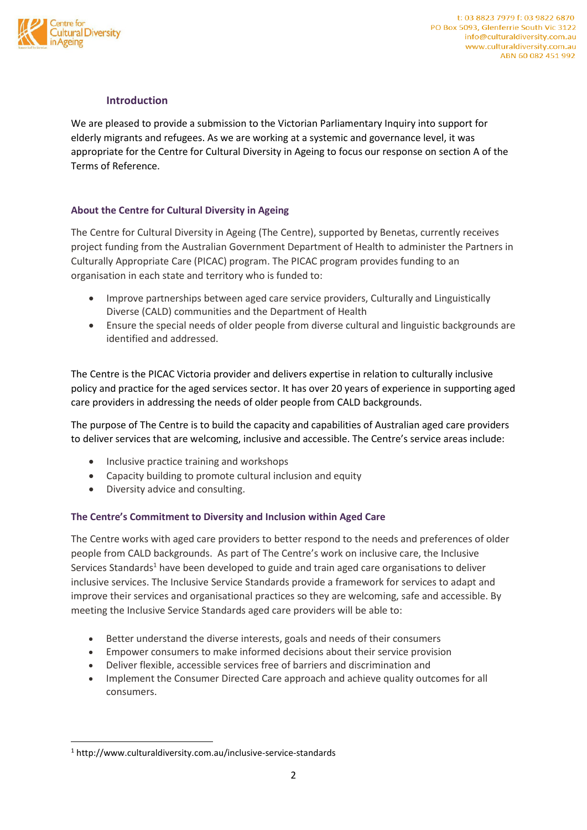

## **Introduction**

We are pleased to provide a submission to the Victorian Parliamentary Inquiry into support for elderly migrants and refugees. As we are working at a systemic and governance level, it was appropriate for the Centre for Cultural Diversity in Ageing to focus our response on section A of the Terms of Reference.

## **About the Centre for Cultural Diversity in Ageing**

The Centre for Cultural Diversity in Ageing (The Centre), supported by Benetas, currently receives project funding from the Australian Government Department of Health to administer the Partners in Culturally Appropriate Care (PICAC) program. The PICAC program provides funding to an organisation in each state and territory who is funded to:

- Improve partnerships between aged care service providers, Culturally and Linguistically Diverse (CALD) communities and the Department of Health
- Ensure the special needs of older people from diverse cultural and linguistic backgrounds are identified and addressed.

The Centre is the PICAC Victoria provider and delivers expertise in relation to culturally inclusive policy and practice for the aged services sector. It has over 20 years of experience in supporting aged care providers in addressing the needs of older people from CALD backgrounds.

The purpose of The Centre is to build the capacity and capabilities of Australian aged care providers to deliver services that are welcoming, inclusive and accessible. The Centre's service areas include:

- Inclusive practice training and workshops
- Capacity building to promote cultural inclusion and equity
- Diversity advice and consulting.

## **The Centre's Commitment to Diversity and Inclusion within Aged Care**

The Centre works with aged care providers to better respond to the needs and preferences of older people from CALD backgrounds. As part of The Centre's work on inclusive care, the Inclusive Services Standards<sup>1</sup> have been developed to guide and train aged care organisations to deliver inclusive services. The Inclusive Service Standards provide a framework for services to adapt and improve their services and organisational practices so they are welcoming, safe and accessible. By meeting the Inclusive Service Standards aged care providers will be able to:

- Better understand the diverse interests, goals and needs of their consumers
- Empower consumers to make informed decisions about their service provision
- Deliver flexible, accessible services free of barriers and discrimination and
- Implement the Consumer Directed Care approach and achieve quality outcomes for all consumers.

**.** 

<sup>1</sup> http://www.culturaldiversity.com.au/inclusive-service-standards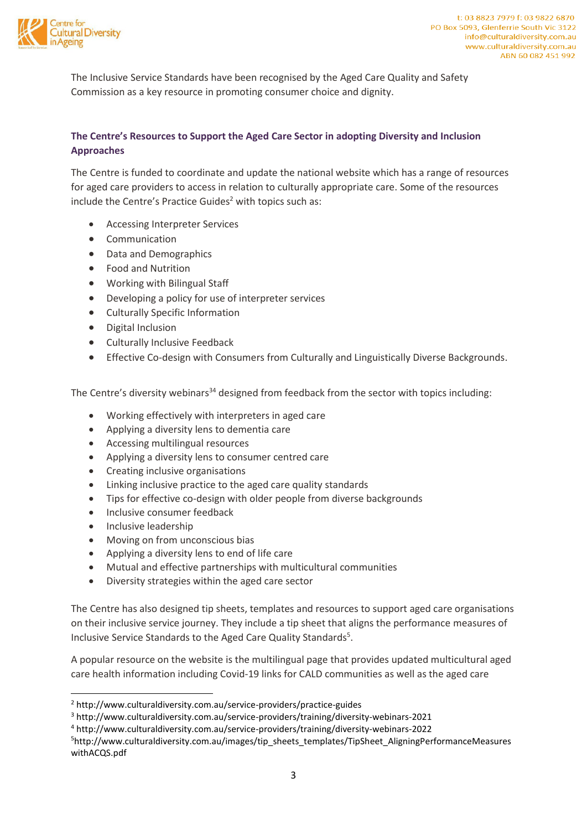

The Inclusive Service Standards have been recognised by the Aged Care Quality and Safety Commission as a key resource in promoting consumer choice and dignity.

## **The Centre's Resources to Support the Aged Care Sector in adopting Diversity and Inclusion Approaches**

The Centre is funded to coordinate and update the national website which has a range of resources for aged care providers to access in relation to culturally appropriate care. Some of the resources include the Centre's Practice Guides<sup>2</sup> with topics such as:

- Accessing Interpreter Services
- Communication
- Data and Demographics
- Food and Nutrition
- Working with Bilingual Staff
- Developing a policy for use of interpreter services
- Culturally Specific Information
- Digital Inclusion
- Culturally Inclusive Feedback
- Effective Co-design with Consumers from Culturally and Linguistically Diverse Backgrounds.

The Centre's diversity webinars<sup>34</sup> designed from feedback from the sector with topics including:

- Working effectively with interpreters in aged care
- Applying a diversity lens to dementia care
- Accessing multilingual resources
- Applying a diversity lens to consumer centred care
- Creating inclusive organisations
- Linking inclusive practice to the aged care quality standards
- Tips for effective co-design with older people from diverse backgrounds
- Inclusive consumer feedback
- Inclusive leadership

 $\overline{\phantom{a}}$ 

- Moving on from unconscious bias
- Applying a diversity lens to end of life care
- Mutual and effective partnerships with multicultural communities
- Diversity strategies within the aged care sector

The Centre has also designed tip sheets, templates and resources to support aged care organisations on their inclusive service journey. They include a tip sheet that aligns the performance measures of Inclusive Service Standards to the Aged Care Quality Standards<sup>5</sup>.

A popular resource on the website is the multilingual page that provides updated multicultural aged care health information including Covid-19 links for CALD communities as well as the aged care

<sup>2</sup> http://www.culturaldiversity.com.au/service-providers/practice-guides

<sup>3</sup> http://www.culturaldiversity.com.au/service-providers/training/diversity-webinars-2021

<sup>4</sup> http://www.culturaldiversity.com.au/service-providers/training/diversity-webinars-2022

<sup>5</sup>http://www.culturaldiversity.com.au/images/tip\_sheets\_templates/TipSheet\_AligningPerformanceMeasures withACQS.pdf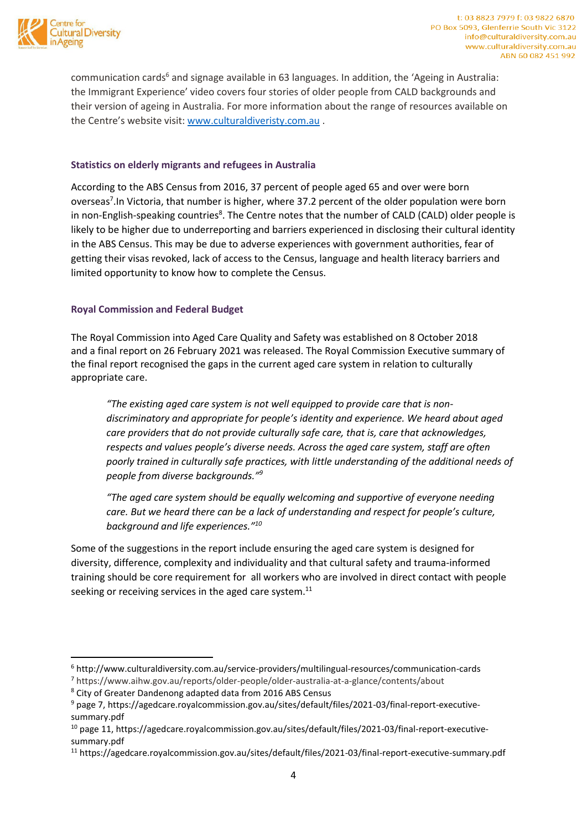

**.** 

communication cards<sup>6</sup> and signage available in 63 languages. In addition, the 'Ageing in Australia: the Immigrant Experience' video covers four stories of older people from CALD backgrounds and their version of ageing in Australia. For more information about the range of resources available on the Centre's website visit: www.culturaldiveristy.com.au .

## **Statistics on elderly migrants and refugees in Australia**

According to the ABS Census from 2016, 37 percent of people aged 65 and over were born overseas<sup>7</sup>. In Victoria, that number is higher, where 37.2 percent of the older population were born in non-English-speaking countries<sup>8</sup>. The Centre notes that the number of CALD (CALD) older people is likely to be higher due to underreporting and barriers experienced in disclosing their cultural identity in the ABS Census. This may be due to adverse experiences with government authorities, fear of getting their visas revoked, lack of access to the Census, language and health literacy barriers and limited opportunity to know how to complete the Census.

## **Royal Commission and Federal Budget**

The Royal Commission into Aged Care Quality and Safety was established on 8 October 2018 and a final report on 26 February 2021 was released. The Royal Commission Executive summary of the final report recognised the gaps in the current aged care system in relation to culturally appropriate care.

*"The existing aged care system is not well equipped to provide care that is nondiscriminatory and appropriate for people's identity and experience. We heard about aged care providers that do not provide culturally safe care, that is, care that acknowledges, respects and values people's diverse needs. Across the aged care system, staff are often poorly trained in culturally safe practices, with little understanding of the additional needs of people from diverse backgrounds." 9* 

*"The aged care system should be equally welcoming and supportive of everyone needing care. But we heard there can be a lack of understanding and respect for people's culture, background and life experiences." 10*

Some of the suggestions in the report include ensuring the aged care system is designed for diversity, difference, complexity and individuality and that cultural safety and trauma-informed training should be core requirement for all workers who are involved in direct contact with people seeking or receiving services in the aged care system.<sup>11</sup>

<sup>6</sup> http://www.culturaldiversity.com.au/service-providers/multilingual-resources/communication-cards

<sup>7</sup> https://www.aihw.gov.au/reports/older-people/older-australia-at-a-glance/contents/about

<sup>8</sup> City of Greater Dandenong adapted data from 2016 ABS Census

<sup>9</sup> page 7, https://agedcare.royalcommission.gov.au/sites/default/files/2021-03/final-report-executivesummary.pdf

<sup>10</sup> page 11, https://agedcare.royalcommission.gov.au/sites/default/files/2021-03/final-report-executivesummary.pdf

<sup>11</sup> https://agedcare.royalcommission.gov.au/sites/default/files/2021-03/final-report-executive-summary.pdf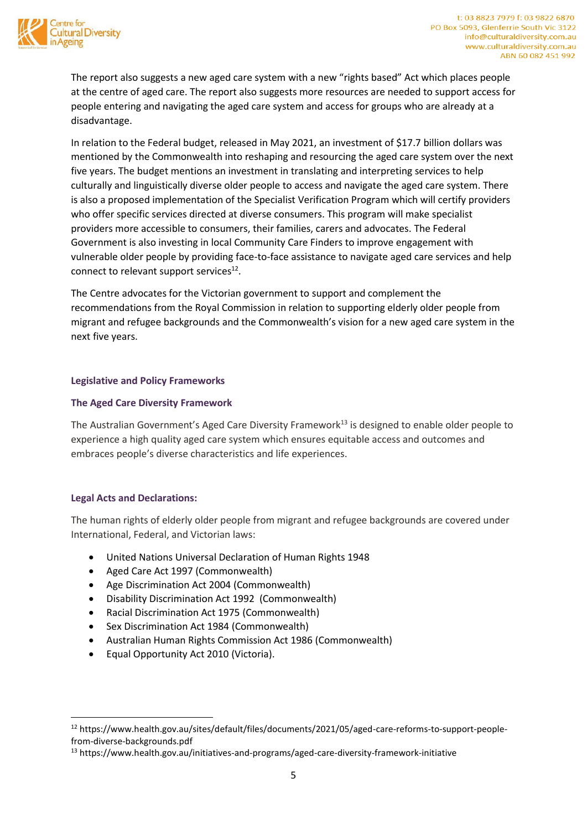

The report also suggests a new aged care system with a new "rights based" Act which places people at the centre of aged care. The report also suggests more resources are needed to support access for people entering and navigating the aged care system and access for groups who are already at a disadvantage.

In relation to the Federal budget, released in May 2021, an investment of \$17.7 billion dollars was mentioned by the Commonwealth into reshaping and resourcing the aged care system over the next five years. The budget mentions an investment in translating and interpreting services to help culturally and linguistically diverse older people to access and navigate the aged care system. There is also a proposed implementation of the Specialist Verification Program which will certify providers who offer specific services directed at diverse consumers. This program will make specialist providers more accessible to consumers, their families, carers and advocates. The Federal Government is also investing in local Community Care Finders to improve engagement with vulnerable older people by providing face-to-face assistance to navigate aged care services and help connect to relevant support services $^{12}$ .

The Centre advocates for the Victorian government to support and complement the recommendations from the Royal Commission in relation to supporting elderly older people from migrant and refugee backgrounds and the Commonwealth's vision for a new aged care system in the next five years.

## **Legislative and Policy Frameworks**

## **The Aged Care Diversity Framework**

The Australian Government's Aged Care Diversity Framework<sup>13</sup> is designed to enable older people to experience a high quality aged care system which ensures equitable access and outcomes and embraces people's diverse characteristics and life experiences.

## **Legal Acts and Declarations:**

**.** 

The human rights of elderly older people from migrant and refugee backgrounds are covered under International, Federal, and Victorian laws:

- United Nations Universal Declaration of Human Rights 1948
- Aged Care Act 1997 (Commonwealth)
- Age Discrimination Act 2004 (Commonwealth)
- Disability Discrimination Act 1992 (Commonwealth)
- Racial Discrimination Act 1975 (Commonwealth)
- Sex Discrimination Act 1984 (Commonwealth)
- Australian Human Rights Commission Act 1986 (Commonwealth)
- Equal Opportunity Act 2010 (Victoria).

<sup>12</sup> https://www.health.gov.au/sites/default/files/documents/2021/05/aged-care-reforms-to-support-peoplefrom-diverse-backgrounds.pdf

<sup>&</sup>lt;sup>13</sup> https://www.health.gov.au/initiatives-and-programs/aged-care-diversity-framework-initiative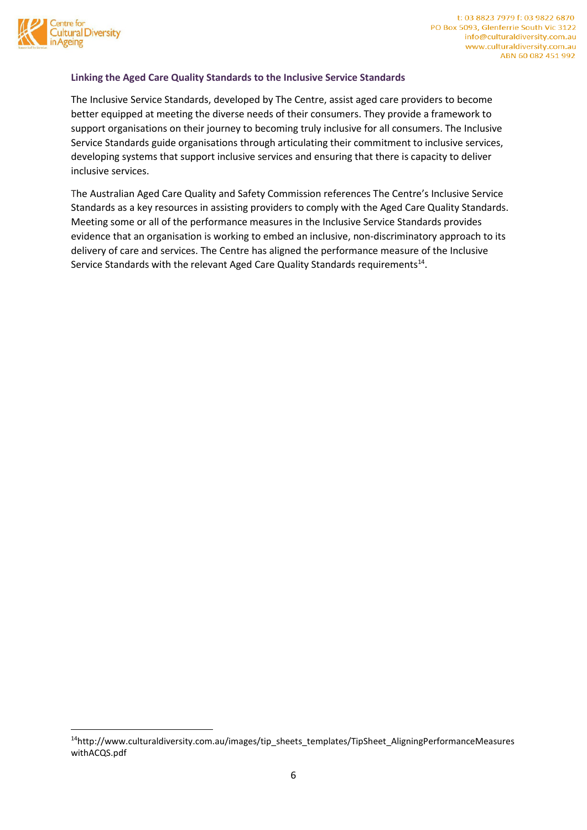

**.** 

## **Linking the Aged Care Quality Standards to the Inclusive Service Standards**

The Inclusive Service Standards, developed by The Centre, assist aged care providers to become better equipped at meeting the diverse needs of their consumers. They provide a framework to support organisations on their journey to becoming truly inclusive for all consumers. The Inclusive Service Standards guide organisations through articulating their commitment to inclusive services, developing systems that support inclusive services and ensuring that there is capacity to deliver inclusive services.

The Australian Aged Care Quality and Safety Commission references The Centre's Inclusive Service Standards as a key resources in assisting providers to comply with the Aged Care Quality Standards. Meeting some or all of the performance measures in the Inclusive Service Standards provides evidence that an organisation is working to embed an inclusive, non-discriminatory approach to its delivery of care and services. The Centre has aligned the performance measure of the Inclusive Service Standards with the relevant Aged Care Quality Standards requirements<sup>14</sup>.

<sup>14</sup>http://www.culturaldiversity.com.au/images/tip\_sheets\_templates/TipSheet\_AligningPerformanceMeasures withACQS.pdf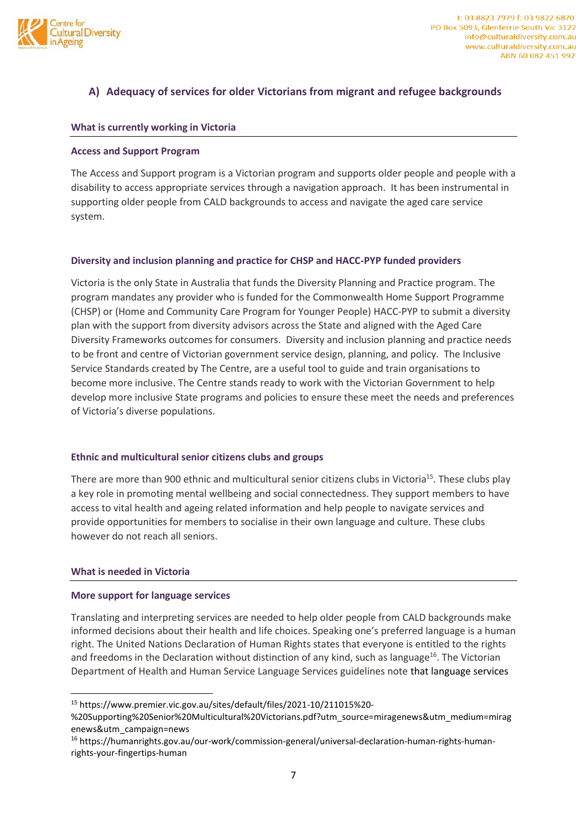

## **A) Adequacy of services for older Victorians from migrant and refugee backgrounds**

#### **What is currently working in Victoria**

#### **Access and Support Program**

The Access and Support program is a Victorian program and supports older people and people with a disability to access appropriate services through a navigation approach. It has been instrumental in supporting older people from CALD backgrounds to access and navigate the aged care service system.

## **Diversity and inclusion planning and practice for CHSP and HACC-PYP funded providers**

Victoria is the only State in Australia that funds the Diversity Planning and Practice program. The program mandates any provider who is funded for the Commonwealth Home Support Programme (CHSP) or (Home and Community Care Program for Younger People) HACC-PYP to submit a diversity plan with the support from diversity advisors across the State and aligned with the Aged Care Diversity Frameworks outcomes for consumers. Diversity and inclusion planning and practice needs to be front and centre of Victorian government service design, planning, and policy. The Inclusive Service Standards created by The Centre, are a useful tool to guide and train organisations to become more inclusive. The Centre stands ready to work with the Victorian Government to help develop more inclusive State programs and policies to ensure these meet the needs and preferences of Victoria's diverse populations.

## **Ethnic and multicultural senior citizens clubs and groups**

There are more than 900 ethnic and multicultural senior citizens clubs in Victoria<sup>15</sup>. These clubs play a key role in promoting mental wellbeing and social connectedness. They support members to have access to vital health and ageing related information and help people to navigate services and provide opportunities for members to socialise in their own language and culture. These clubs however do not reach all seniors.

#### **What is needed in Victoria**

 $\overline{\phantom{a}}$ 

#### **More support for language services**

Translating and interpreting services are needed to help older people from CALD backgrounds make informed decisions about their health and life choices. Speaking one's preferred language is a human right. The United Nations Declaration of Human Rights states that everyone is entitled to the rights and freedoms in the Declaration without distinction of any kind, such as language<sup>16</sup>. The Victorian Department of Health and Human Service Language Services guidelines note that language services

<sup>15</sup> https://www.premier.vic.gov.au/sites/default/files/2021-10/211015%20-

<sup>%20</sup>Supporting%20Senior%20Multicultural%20Victorians.pdf?utm\_source=miragenews&utm\_medium=mirag enews&utm\_campaign=news

<sup>16</sup> https://humanrights.gov.au/our-work/commission-general/universal-declaration-human-rights-humanrights-your-fingertips-human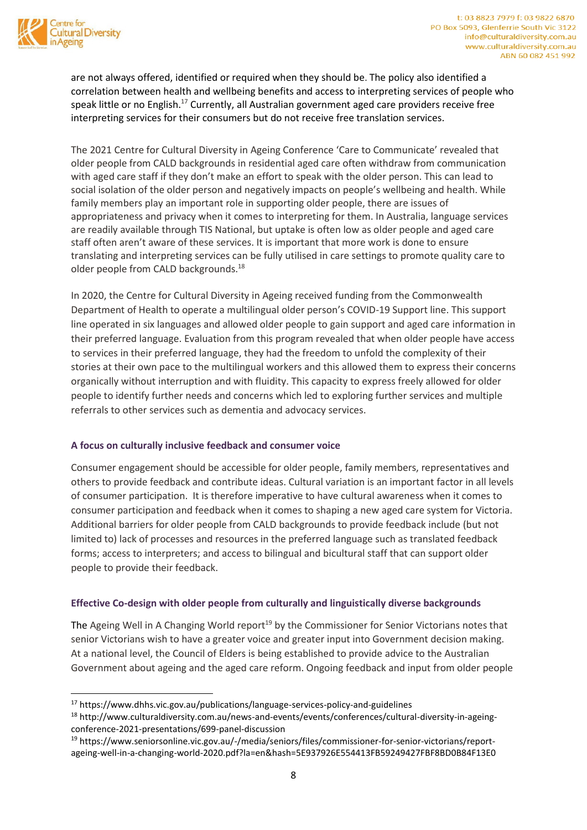

 $\overline{\phantom{a}}$ 

are not always offered, identified or required when they should be. The policy also identified a correlation between health and wellbeing benefits and access to interpreting services of people who speak little or no English.<sup>17</sup> Currently, all Australian government aged care providers receive free interpreting services for their consumers but do not receive free translation services.

The 2021 Centre for Cultural Diversity in Ageing Conference 'Care to Communicate' revealed that older people from CALD backgrounds in residential aged care often withdraw from communication with aged care staff if they don't make an effort to speak with the older person. This can lead to social isolation of the older person and negatively impacts on people's wellbeing and health. While family members play an important role in supporting older people, there are issues of appropriateness and privacy when it comes to interpreting for them. In Australia, language services are readily available through TIS National, but uptake is often low as older people and aged care staff often aren't aware of these services. It is important that more work is done to ensure translating and interpreting services can be fully utilised in care settings to promote quality care to older people from CALD backgrounds.<sup>18</sup>

In 2020, the Centre for Cultural Diversity in Ageing received funding from the Commonwealth Department of Health to operate a multilingual older person's COVID-19 Support line. This support line operated in six languages and allowed older people to gain support and aged care information in their preferred language. Evaluation from this program revealed that when older people have access to services in their preferred language, they had the freedom to unfold the complexity of their stories at their own pace to the multilingual workers and this allowed them to express their concerns organically without interruption and with fluidity. This capacity to express freely allowed for older people to identify further needs and concerns which led to exploring further services and multiple referrals to other services such as dementia and advocacy services.

## **A focus on culturally inclusive feedback and consumer voice**

Consumer engagement should be accessible for older people, family members, representatives and others to provide feedback and contribute ideas. Cultural variation is an important factor in all levels of consumer participation. It is therefore imperative to have cultural awareness when it comes to consumer participation and feedback when it comes to shaping a new aged care system for Victoria. Additional barriers for older people from CALD backgrounds to provide feedback include (but not limited to) lack of processes and resources in the preferred language such as translated feedback forms; access to interpreters; and access to bilingual and bicultural staff that can support older people to provide their feedback.

## **Effective Co-design with older people from culturally and linguistically diverse backgrounds**

The Ageing Well in A Changing World report<sup>19</sup> by the Commissioner for Senior Victorians notes that senior Victorians wish to have a greater voice and greater input into Government decision making. At a national level, the Council of Elders is being established to provide advice to the Australian Government about ageing and the aged care reform. Ongoing feedback and input from older people

<sup>17</sup> https://www.dhhs.vic.gov.au/publications/language-services-policy-and-guidelines

<sup>18</sup> http://www.culturaldiversity.com.au/news-and-events/events/conferences/cultural-diversity-in-ageingconference-2021-presentations/699-panel-discussion

<sup>19</sup> https://www.seniorsonline.vic.gov.au/-/media/seniors/files/commissioner-for-senior-victorians/reportageing-well-in-a-changing-world-2020.pdf?la=en&hash=5E937926E554413FB59249427FBF8BD0B84F13E0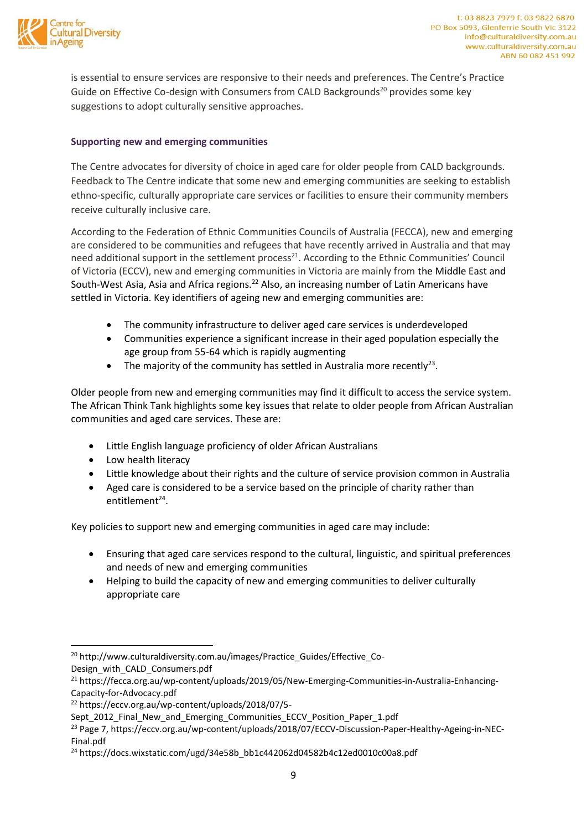

is essential to ensure services are responsive to their needs and preferences. The Centre's Practice Guide on Effective Co-design with Consumers from CALD Backgrounds<sup>20</sup> provides some key suggestions to adopt culturally sensitive approaches.

## **Supporting new and emerging communities**

The Centre advocates for diversity of choice in aged care for older people from CALD backgrounds. Feedback to The Centre indicate that some new and emerging communities are seeking to establish ethno-specific, culturally appropriate care services or facilities to ensure their community members receive culturally inclusive care.

According to the Federation of Ethnic Communities Councils of Australia (FECCA), new and emerging are considered to be communities and refugees that have recently arrived in Australia and that may need additional support in the settlement process<sup>21</sup>. According to the Ethnic Communities' Council of Victoria (ECCV), new and emerging communities in Victoria are mainly from the Middle East and South-West Asia, Asia and Africa regions.<sup>22</sup> Also, an increasing number of Latin Americans have settled in Victoria. Key identifiers of ageing new and emerging communities are:

- The community infrastructure to deliver aged care services is underdeveloped
- Communities experience a significant increase in their aged population especially the age group from 55-64 which is rapidly augmenting
- The majority of the community has settled in Australia more recently<sup>23</sup>.

Older people from new and emerging communities may find it difficult to access the service system. The African Think Tank highlights some key issues that relate to older people from African Australian communities and aged care services. These are:

- Little English language proficiency of older African Australians
- Low health literacy
- Little knowledge about their rights and the culture of service provision common in Australia
- Aged care is considered to be a service based on the principle of charity rather than entitlement<sup>24</sup>.

Key policies to support new and emerging communities in aged care may include:

- Ensuring that aged care services respond to the cultural, linguistic, and spiritual preferences and needs of new and emerging communities
- Helping to build the capacity of new and emerging communities to deliver culturally appropriate care

Design\_with\_CALD\_Consumers.pdf

1

<sup>20</sup> http://www.culturaldiversity.com.au/images/Practice\_Guides/Effective\_Co-

<sup>&</sup>lt;sup>21</sup> https://fecca.org.au/wp-content/uploads/2019/05/New-Emerging-Communities-in-Australia-Enhancing-Capacity-for-Advocacy.pdf

<sup>22</sup> https://eccv.org.au/wp-content/uploads/2018/07/5-

Sept\_2012\_Final\_New\_and\_Emerging\_Communities\_ECCV\_Position\_Paper\_1.pdf

<sup>&</sup>lt;sup>23</sup> Page 7, https://eccv.org.au/wp-content/uploads/2018/07/ECCV-Discussion-Paper-Healthy-Ageing-in-NEC-Final.pdf

<sup>24</sup> https://docs.wixstatic.com/ugd/34e58b\_bb1c442062d04582b4c12ed0010c00a8.pdf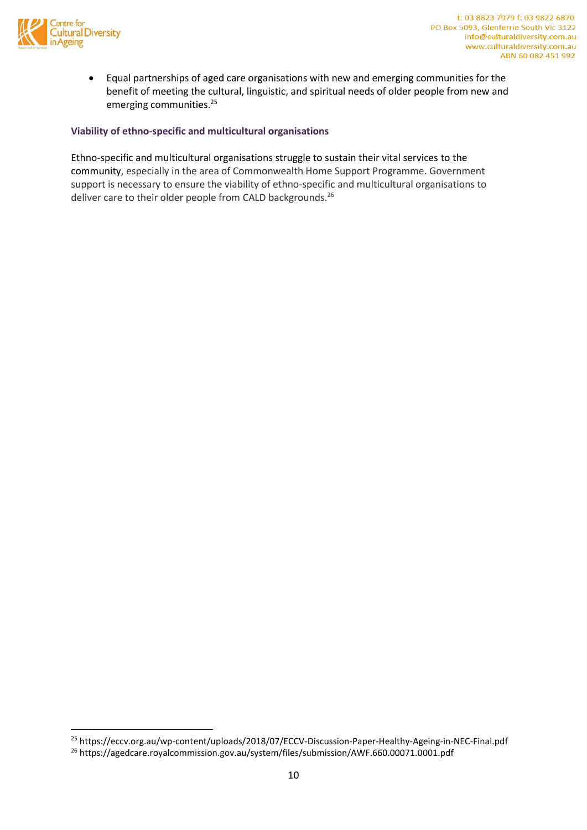

**.** 

 Equal partnerships of aged care organisations with new and emerging communities for the benefit of meeting the cultural, linguistic, and spiritual needs of older people from new and emerging communities.<sup>25</sup>

## **Viability of ethno-specific and multicultural organisations**

Ethno-specific and multicultural organisations struggle to sustain their vital services to the community, especially in the area of Commonwealth Home Support Programme. Government support is necessary to ensure the viability of ethno-specific and multicultural organisations to deliver care to their older people from CALD backgrounds.<sup>26</sup>

<sup>25</sup> https://eccv.org.au/wp-content/uploads/2018/07/ECCV-Discussion-Paper-Healthy-Ageing-in-NEC-Final.pdf

<sup>26</sup> https://agedcare.royalcommission.gov.au/system/files/submission/AWF.660.00071.0001.pdf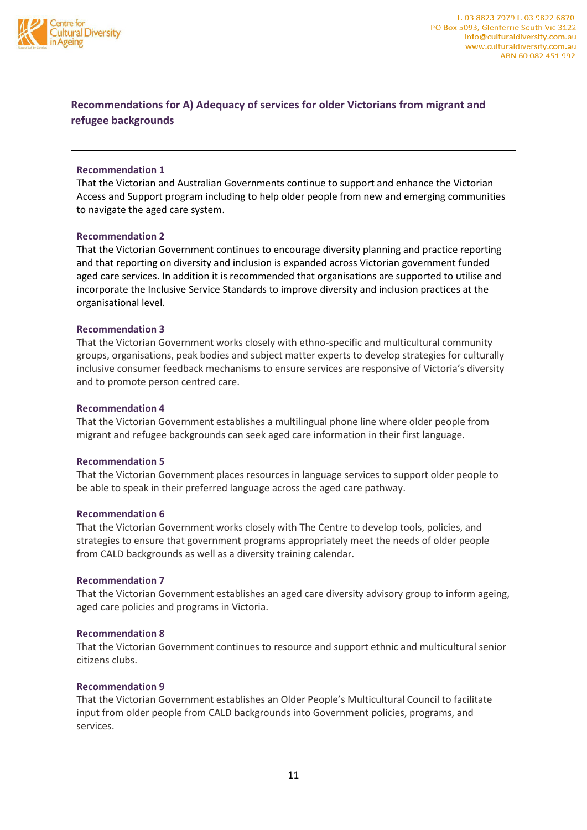

## **Recommendations for A) Adequacy of services for older Victorians from migrant and refugee backgrounds**

## **Recommendation 1**

That the Victorian and Australian Governments continue to support and enhance the Victorian Access and Support program including to help older people from new and emerging communities to navigate the aged care system.

## **Recommendation 2**

That the Victorian Government continues to encourage diversity planning and practice reporting and that reporting on diversity and inclusion is expanded across Victorian government funded aged care services. In addition it is recommended that organisations are supported to utilise and incorporate the Inclusive Service Standards to improve diversity and inclusion practices at the organisational level.

## **Recommendation 3**

That the Victorian Government works closely with ethno-specific and multicultural community groups, organisations, peak bodies and subject matter experts to develop strategies for culturally inclusive consumer feedback mechanisms to ensure services are responsive of Victoria's diversity and to promote person centred care.

#### **Recommendation 4**

That the Victorian Government establishes a multilingual phone line where older people from migrant and refugee backgrounds can seek aged care information in their first language.

## **Recommendation 5**

That the Victorian Government places resources in language services to support older people to be able to speak in their preferred language across the aged care pathway.

#### **Recommendation 6**

That the Victorian Government works closely with The Centre to develop tools, policies, and strategies to ensure that government programs appropriately meet the needs of older people from CALD backgrounds as well as a diversity training calendar.

## **Recommendation 7**

That the Victorian Government establishes an aged care diversity advisory group to inform ageing, aged care policies and programs in Victoria.

## **Recommendation 8**

That the Victorian Government continues to resource and support ethnic and multicultural senior citizens clubs.

#### **Recommendation 9**

That the Victorian Government establishes an Older People's Multicultural Council to facilitate input from older people from CALD backgrounds into Government policies, programs, and services.